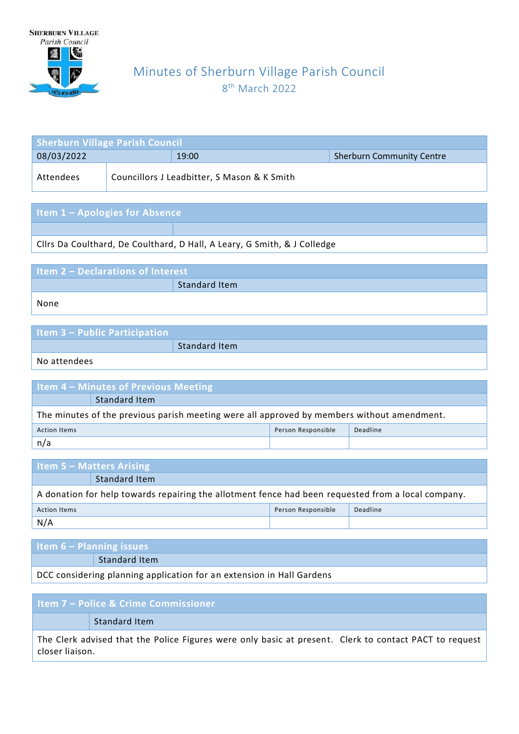

## Minutes of Sherburn Village Parish Council 8<sup>th</sup> March 2022

| <b>Sherburn Village Parish Council</b> |  |                                             |                                  |  |
|----------------------------------------|--|---------------------------------------------|----------------------------------|--|
| 08/03/2022                             |  | 19:00                                       | <b>Sherburn Community Centre</b> |  |
| Attendees                              |  | Councillors J Leadbitter, S Mason & K Smith |                                  |  |

## **Item 1 – Apologies for Absence**

Cllrs Da Coulthard, De Coulthard, D Hall, A Leary, G Smith, & J Colledge

| Item 2 - Declarations of Interest |               |  |  |  |
|-----------------------------------|---------------|--|--|--|
|                                   | Standard Item |  |  |  |
| None                              |               |  |  |  |

| <b>Item 3 – Public Participation</b> |                      |
|--------------------------------------|----------------------|
|                                      | <b>Standard Item</b> |

No attendees

| <b>Item 4 – Minutes of Previous Meeting</b>                                                |               |  |  |
|--------------------------------------------------------------------------------------------|---------------|--|--|
|                                                                                            | Standard Item |  |  |
| The minutes of the previous parish meeting were all approved by members without amendment. |               |  |  |
| Person Responsible<br>Deadline<br><b>Action Items</b>                                      |               |  |  |
| n/a                                                                                        |               |  |  |

| <b>Item 5 – Matters Arising</b>                                                                    |  |  |  |
|----------------------------------------------------------------------------------------------------|--|--|--|
| Standard Item                                                                                      |  |  |  |
| A donation for help towards repairing the allotment fence had been requested from a local company. |  |  |  |
| Person Responsible<br>Deadline<br><b>Action Items</b>                                              |  |  |  |
| N/A                                                                                                |  |  |  |

| <b>Item 6 – Planning issues</b>                                       |                      |  |
|-----------------------------------------------------------------------|----------------------|--|
|                                                                       | <b>Standard Item</b> |  |
| DCC considering planning application for an extension in Hall Gardens |                      |  |

**Item 7 – Police & Crime Commissioner** Standard Item The Clerk advised that the Police Figures were only basic at present. Clerk to contact PACT to request

closer liaison.